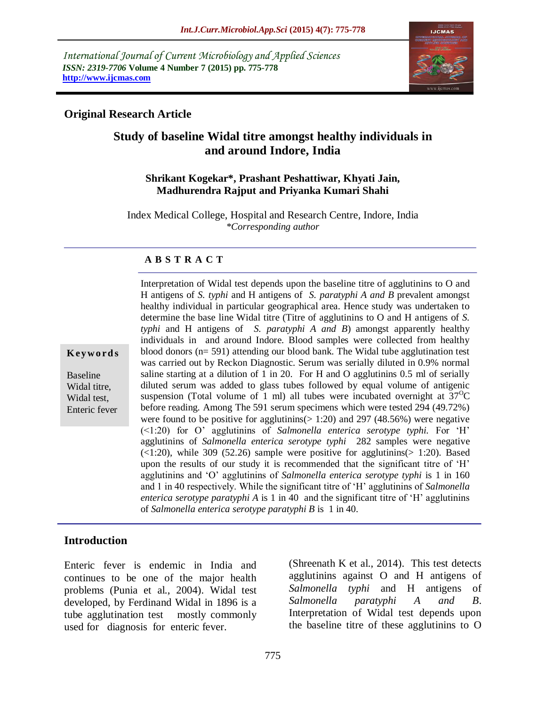*International Journal of Current Microbiology and Applied Sciences ISSN: 2319-7706* **Volume 4 Number 7 (2015) pp. 775-778 http://www.ijcmas.com** 



## **Original Research Article**

# **Study of baseline Widal titre amongst healthy individuals in and around Indore, India**

#### **Shrikant Kogekar\*, Prashant Peshattiwar, Khyati Jain, Madhurendra Rajput and Priyanka Kumari Shahi**

Index Medical College, Hospital and Research Centre, Indore, India *\*Corresponding author*

#### **A B S T R A C T**

**K ey w o rd s**

Baseline Widal titre, Widal test, Enteric fever H antigens of *S. typhi* and H antigens of *S. paratyphi A and B* prevalent amongst healthy individual in particular geographical area. Hence study was undertaken to determine the base line Widal titre (Titre of agglutinins to O and H antigens of *S. typhi* and H antigens of *S. paratyphi A and B*) amongst apparently healthy individuals in and around Indore. Blood samples were collected from healthy blood donors (n= 591) attending our blood bank. The Widal tube agglutination test was carried out by Reckon Diagnostic. Serum was serially diluted in 0.9% normal saline starting at a dilution of 1 in 20. For H and O agglutinins 0.5 ml of serially diluted serum was added to glass tubes followed by equal volume of antigenic suspension (Total volume of 1 ml) all tubes were incubated overnight at  $37^{\circ}$ C before reading. Among The 591 serum specimens which were tested 294 (49.72%) were found to be positive for agglutinins( $> 1:20$ ) and 297 (48.56%) were negative (<1:20) for O' agglutinins of *Salmonella enterica serotype typhi.* For 'H' agglutinins of *Salmonella enterica serotype typhi* 282 samples were negative  $(\le 1:20)$ , while 309 (52.26) sample were positive for agglutinins( $> 1:20$ ). Based upon the results of our study it is recommended that the significant titre of 'H' agglutinins and 'O' agglutinins of *Salmonella enterica serotype typhi* is 1 in 160 and 1 in 40 respectively. While the significant titre of 'H' agglutinins of *Salmonella enterica serotype paratyphi A* is 1 in 40 and the significant titre of 'H' agglutinins of *Salmonella enterica serotype paratyphi B* is 1 in 40.

Interpretation of Widal test depends upon the baseline titre of agglutinins to O and

#### **Introduction**

Enteric fever is endemic in India and continues to be one of the major health problems (Punia et al., 2004). Widal test developed, by Ferdinand Widal in 1896 is a tube agglutination test mostly commonly used for diagnosis for enteric fever.

(Shreenath K et al., 2014). This test detects agglutinins against O and H antigens of *Salmonella typhi* and H antigens of *Salmonella paratyphi A and B*. Interpretation of Widal test depends upon the baseline titre of these agglutinins to O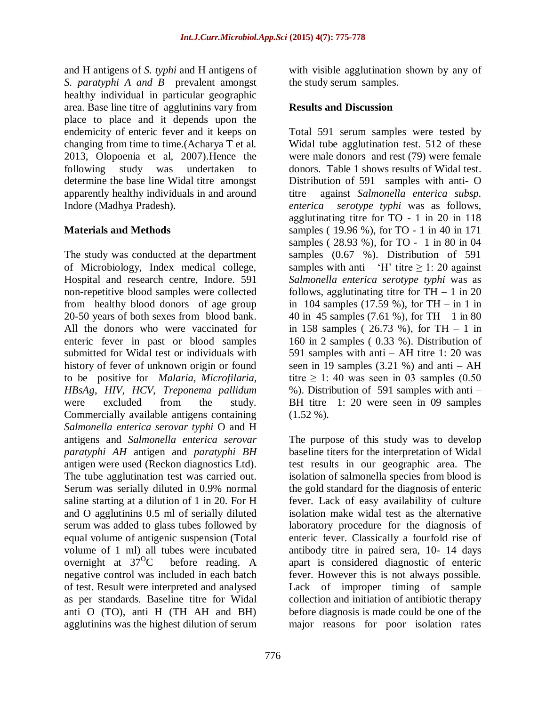and H antigens of *S. typhi* and H antigens of *S. paratyphi A and B* prevalent amongst healthy individual in particular geographic area. Base line titre of agglutinins vary from place to place and it depends upon the endemicity of enteric fever and it keeps on changing from time to time.(Acharya T et al. 2013, Olopoenia et al, 2007).Hence the following study was undertaken to determine the base line Widal titre amongst apparently healthy individuals in and around Indore (Madhya Pradesh).

# **Materials and Methods**

The study was conducted at the department of Microbiology, Index medical college, Hospital and research centre, Indore. 591 non-repetitive blood samples were collected from healthy blood donors of age group 20-50 years of both sexes from blood bank. All the donors who were vaccinated for enteric fever in past or blood samples submitted for Widal test or individuals with history of fever of unknown origin or found to be positive for *Malaria, Microfilaria, HBsAg*, *HIV, HCV, Treponema pallidum* were excluded from the study. Commercially available antigens containing *Salmonella enterica serovar typhi* O and H antigens and *Salmonella enterica serovar paratyphi AH* antigen and *paratyphi BH* antigen were used (Reckon diagnostics Ltd). The tube agglutination test was carried out. Serum was serially diluted in 0.9% normal saline starting at a dilution of 1 in 20. For H and O agglutinins 0.5 ml of serially diluted serum was added to glass tubes followed by equal volume of antigenic suspension (Total volume of 1 ml) all tubes were incubated overnight at  $37^{\circ}$ C before reading. A negative control was included in each batch of test. Result were interpreted and analysed as per standards. Baseline titre for Widal anti O (TO), anti H (TH AH and BH) agglutinins was the highest dilution of serum

with visible agglutination shown by any of the study serum samples.

## **Results and Discussion**

Total 591 serum samples were tested by Widal tube agglutination test. 512 of these were male donors and rest (79) were female donors. Table 1 shows results of Widal test. Distribution of 591 samples with anti- O titre against *Salmonella enterica subsp. enterica serotype typhi* was as follows, agglutinating titre for TO - 1 in 20 in 118 samples ( 19.96 %), for TO - 1 in 40 in 171 samples ( 28.93 %), for TO - 1 in 80 in 04 samples (0.67 %). Distribution of 591 samples with anti – 'H' titre  $\geq$  1: 20 against *Salmonella enterica serotype typhi* was as follows, agglutinating titre for  $TH - 1$  in 20 in 104 samples (17.59 %), for TH – in 1 in 40 in 45 samples (7.61 %), for TH – 1 in 80 in 158 samples ( $26.73 \%$ ), for TH  $-1$  in 160 in 2 samples ( 0.33 %). Distribution of 591 samples with anti – AH titre 1: 20 was seen in 19 samples  $(3.21 \%)$  and anti – AH titre  $\geq$  1:40 was seen in 03 samples (0.50 %). Distribution of 591 samples with anti – BH titre 1: 20 were seen in 09 samples  $(1.52 \%)$ .

The purpose of this study was to develop baseline titers for the interpretation of Widal test results in our geographic area. The isolation of salmonella species from blood is the gold standard for the diagnosis of enteric fever. Lack of easy availability of culture isolation make widal test as the alternative laboratory procedure for the diagnosis of enteric fever. Classically a fourfold rise of antibody titre in paired sera, 10- 14 days apart is considered diagnostic of enteric fever. However this is not always possible. Lack of improper timing of sample collection and initiation of antibiotic therapy before diagnosis is made could be one of the major reasons for poor isolation rates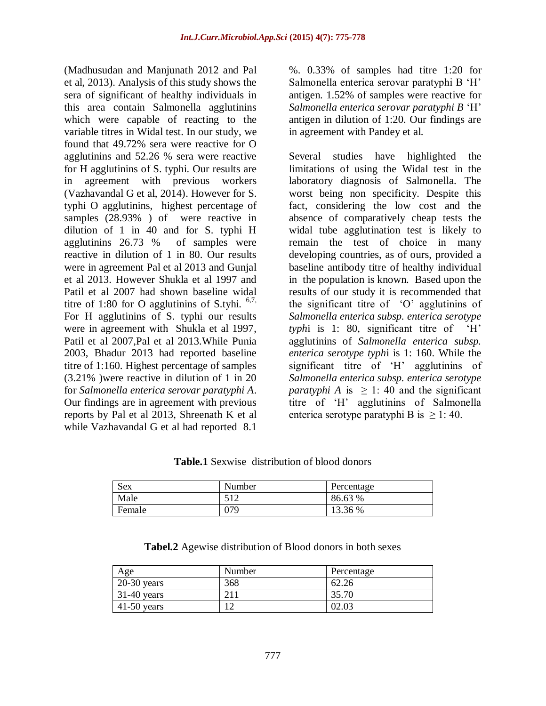(Madhusudan and Manjunath 2012 and Pal et al, 2013). Analysis of this study shows the sera of significant of healthy individuals in this area contain Salmonella agglutinins which were capable of reacting to the variable titres in Widal test. In our study, we found that 49.72% sera were reactive for O agglutinins and 52.26 % sera were reactive for H agglutinins of S. typhi. Our results are in agreement with previous workers (Vazhavandal G et al, 2014). However for S. typhi O agglutinins, highest percentage of samples  $(28.93\%)$  of were reactive in dilution of 1 in 40 and for S. typhi H agglutinins 26.73 % of samples were reactive in dilution of 1 in 80. Our results were in agreement Pal et al 2013 and Gunjal et al 2013. However Shukla et al 1997 and Patil et al 2007 had shown baseline widal titre of 1:80 for O agglutinins of S.tyhi.  $6,7$ , For H agglutinins of S. typhi our results were in agreement with Shukla et al 1997, Patil et al 2007,Pal et al 2013.While Punia 2003, Bhadur 2013 had reported baseline titre of 1:160. Highest percentage of samples (3.21% )were reactive in dilution of 1 in 20 for *Salmonella enterica serovar paratyphi A*. Our findings are in agreement with previous reports by Pal et al 2013, Shreenath K et al while Vazhavandal G et al had reported 8.1

%. 0.33% of samples had titre 1:20 for Salmonella enterica serovar paratyphi B 'H' antigen. 1.52% of samples were reactive for *Salmonella enterica serovar paratyphi B* 'H' antigen in dilution of 1:20. Our findings are in agreement with Pandey et al.

Several studies have highlighted the limitations of using the Widal test in the laboratory diagnosis of Salmonella. The worst being non specificity. Despite this fact, considering the low cost and the absence of comparatively cheap tests the widal tube agglutination test is likely to remain the test of choice in many developing countries, as of ours, provided a baseline antibody titre of healthy individual in the population is known. Based upon the results of our study it is recommended that the significant titre of 'O' agglutinins of *Salmonella enterica subsp. enterica serotype typh*i is 1: 80, significant titre of 'H' agglutinins of *Salmonella enterica subsp. enterica serotype typh*i is 1: 160. While the significant titre of 'H' agglutinins of *Salmonella enterica subsp. enterica serotype paratyphi A* is  $\geq$  1:40 and the significant titre of 'H' agglutinins of Salmonella enterica serotype paratyphi B is  $\geq$  1:40.

| THURSE DUINTING GINLINGHOIL OF DROOM GOTIOFS |        |            |  |  |  |  |  |
|----------------------------------------------|--------|------------|--|--|--|--|--|
| Sex                                          | Number | Percentage |  |  |  |  |  |
| Male                                         | 512    | 86.63 %    |  |  |  |  |  |
| Female                                       | )79    | 13.36 %    |  |  |  |  |  |

**Table.1** Sexwise distribution of blood donors

**Tabel.2** Agewise distribution of Blood donors in both sexes

| Age           | Number | Percentage |
|---------------|--------|------------|
| $20-30$ years | 368    | 62.26      |
| $31-40$ years |        | 35.70      |
| $41-50$ years |        | 02.03      |